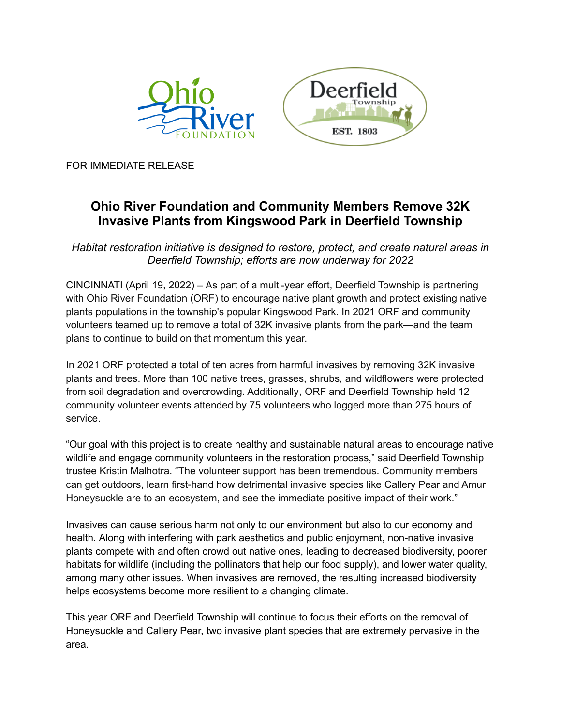



FOR IMMEDIATE RELEASE

## **Ohio River Foundation and Community Members Remove 32K Invasive Plants from Kingswood Park in Deerfield Township**

*Habitat restoration initiative is designed to restore, protect, and create natural areas in Deerfield Township; efforts are now underway for 2022*

CINCINNATI (April 19, 2022) – As part of a multi-year effort, Deerfield Township is partnering with Ohio River Foundation (ORF) to encourage native plant growth and protect existing native plants populations in the township's popular Kingswood Park. In 2021 ORF and community volunteers teamed up to remove a total of 32K invasive plants from the park—and the team plans to continue to build on that momentum this year.

In 2021 ORF protected a total of ten acres from harmful invasives by removing 32K invasive plants and trees. More than 100 native trees, grasses, shrubs, and wildflowers were protected from soil degradation and overcrowding. Additionally, ORF and Deerfield Township held 12 community volunteer events attended by 75 volunteers who logged more than 275 hours of service.

"Our goal with this project is to create healthy and sustainable natural areas to encourage native wildlife and engage community volunteers in the restoration process," said Deerfield Township trustee Kristin Malhotra. "The volunteer support has been tremendous. Community members can get outdoors, learn first-hand how detrimental invasive species like Callery Pear and Amur Honeysuckle are to an ecosystem, and see the immediate positive impact of their work."

Invasives can cause serious harm not only to our environment but also to our economy and health. Along with interfering with park aesthetics and public enjoyment, non-native invasive plants compete with and often crowd out native ones, leading to decreased biodiversity, poorer habitats for wildlife (including the pollinators that help our food supply), and lower water quality, among many other issues. When invasives are removed, the resulting increased biodiversity helps ecosystems become more resilient to a changing climate.

This year ORF and Deerfield Township will continue to focus their efforts on the removal of Honeysuckle and Callery Pear, two invasive plant species that are extremely pervasive in the area.